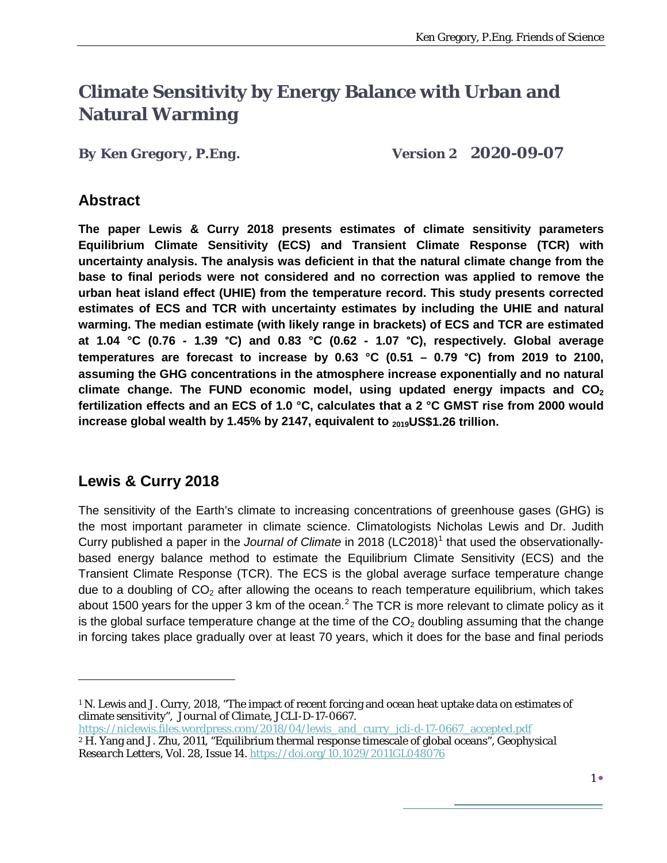# **Climate Sensitivity by Energy Balance with Urban and Natural Warming**

*By Ken Gregory, P.Eng. Version 2 2020-09-07*

#### **Abstract**

**The paper Lewis & Curry 2018 presents estimates of climate sensitivity parameters Equilibrium Climate Sensitivity (ECS) and Transient Climate Response (TCR) with uncertainty analysis. The analysis was deficient in that the natural climate change from the base to final periods were not considered and no correction was applied to remove the urban heat island effect (UHIE) from the temperature record. This study presents corrected estimates of ECS and TCR with uncertainty estimates by including the UHIE and natural warming. The median estimate (with likely range in brackets) of ECS and TCR are estimated at 1.04 °C (0.76 - 1.39 °C) and 0.83 °C (0.62 - 1.07 °C), respectively. Global average temperatures are forecast to increase by 0.63 °C (0.51 – 0.79 °C) from 2019 to 2100, assuming the GHG concentrations in the atmosphere increase exponentially and no natural**  climate change. The FUND economic model, using updated energy impacts and CO<sub>2</sub> **fertilization effects and an ECS of 1.0 °C, calculates that a 2 °C GMST rise from 2000 would**  increase global wealth by 1.45% by 2147, equivalent to <sub>2019</sub>US\$1.26 trillion.

## **Lewis & Curry 2018**

 $\overline{a}$ 

The sensitivity of the Earth's climate to increasing concentrations of greenhouse gases (GHG) is the most important parameter in climate science. Climatologists Nicholas Lewis and Dr. Judith Curry published a paper in the *Journal of Climate* in 20[1](#page-0-0)8 (LC2018)<sup>1</sup> that used the observationallybased energy balance method to estimate the Equilibrium Climate Sensitivity (ECS) and the Transient Climate Response (TCR). The ECS is the global average surface temperature change due to a doubling of  $CO<sub>2</sub>$  after allowing the oceans to reach temperature equilibrium, which takes about 1500 years for the upper 3 km of the ocean.<sup>[2](#page-0-1)</sup> The TCR is more relevant to climate policy as it is the global surface temperature change at the time of the  $CO<sub>2</sub>$  doubling assuming that the change in forcing takes place gradually over at least 70 years, which it does for the base and final periods

<span id="page-0-1"></span>[https://niclewis.files.wordpress.com/2018/04/lewis\\_and\\_curry\\_jcli-d-17-0667\\_accepted.pdf](https://niclewis.files.wordpress.com/2018/04/lewis_and_curry_jcli-d-17-0667_accepted.pdf) <sup>2</sup> H. Yang and J. Zhu, 2011, "Equilibrium thermal response timescale of global oceans", *Geophysical* 

<span id="page-0-0"></span><sup>1</sup> N. Lewis and J. Curry, 2018, "The impact of recent forcing and ocean heat uptake data on estimates of climate sensitivity", *Journal of Climate*, JCLI-D-17-0667.

*Research Letters*, Vol. 28, Issue 14.<https://doi.org/10.1029/2011GL048076>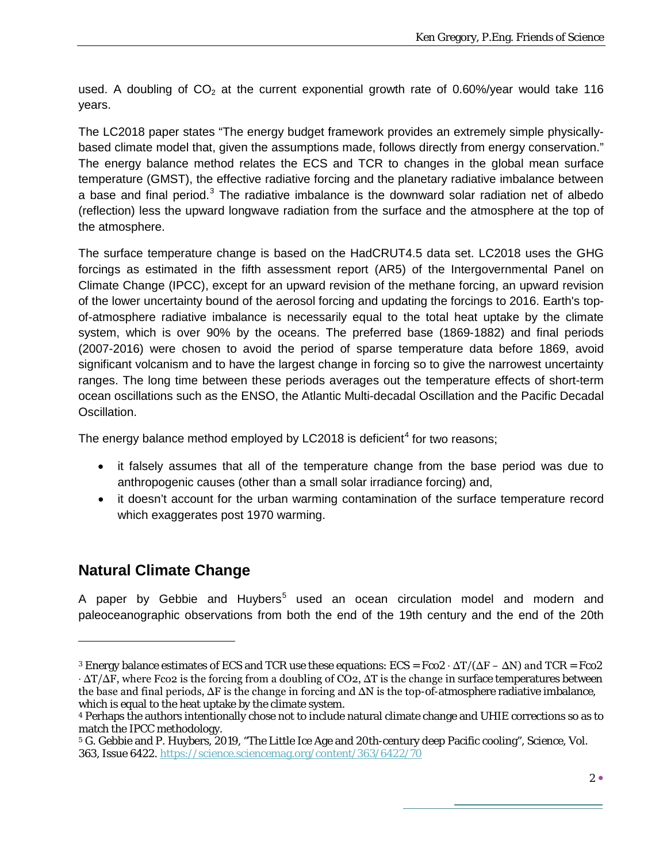used. A doubling of  $CO<sub>2</sub>$  at the current exponential growth rate of 0.60%/year would take 116 years.

The LC2018 paper states "The energy budget framework provides an extremely simple physicallybased climate model that, given the assumptions made, follows directly from energy conservation." The energy balance method relates the ECS and TCR to changes in the global mean surface temperature (GMST), the effective radiative forcing and the planetary radiative imbalance between a base and final period.<sup>[3](#page-1-0)</sup> The radiative imbalance is the downward solar radiation net of albedo (reflection) less the upward longwave radiation from the surface and the atmosphere at the top of the atmosphere.

The surface temperature change is based on the HadCRUT4.5 data set. LC2018 uses the GHG forcings as estimated in the fifth assessment report (AR5) of the Intergovernmental Panel on Climate Change (IPCC), except for an upward revision of the methane forcing, an upward revision of the lower uncertainty bound of the aerosol forcing and updating the forcings to 2016. Earth's topof-atmosphere radiative imbalance is necessarily equal to the total heat uptake by the climate system, which is over 90% by the oceans. The preferred base (1869-1882) and final periods (2007-2016) were chosen to avoid the period of sparse temperature data before 1869, avoid significant volcanism and to have the largest change in forcing so to give the narrowest uncertainty ranges. The long time between these periods averages out the temperature effects of short-term ocean oscillations such as the ENSO, the Atlantic Multi-decadal Oscillation and the Pacific Decadal Oscillation.

The energy balance method employed by LC2018 is deficient<sup>[4](#page-1-1)</sup> for two reasons;

- it falsely assumes that all of the temperature change from the base period was due to anthropogenic causes (other than a small solar irradiance forcing) and,
- it doesn't account for the urban warming contamination of the surface temperature record which exaggerates post 1970 warming.

#### **Natural Climate Change**

 $\overline{a}$ 

A paper by Gebbie and Huybers<sup>[5](#page-1-2)</sup> used an ocean circulation model and modern and paleoceanographic observations from both the end of the 19th century and the end of the 20th

<span id="page-1-0"></span><sup>&</sup>lt;sup>3</sup> Energy balance estimates of ECS and TCR use these equations:  $ECS = Fco2 \cdot \Delta T/(\Delta F - \Delta N)$  and TCR = Fco2  $\cdot$   $\Delta T/\Delta F$ , where Fco2 is the forcing from a doubling of CO2,  $\Delta T$  is the change in surface temperatures between the base and final periods,  $\Delta F$  is the change in forcing and  $\Delta N$  is the top-of-atmosphere radiative imbalance, which is equal to the heat uptake by the climate system.

<span id="page-1-1"></span><sup>4</sup> Perhaps the authors intentionally chose not to include natural climate change and UHIE corrections so as to match the IPCC methodology.

<span id="page-1-2"></span><sup>5</sup> G. Gebbie and P. Huybers, 2019, "The Little Ice Age and 20th-century deep Pacific cooling", *Science*, Vol. 363, Issue 6422.<https://science.sciencemag.org/content/363/6422/70>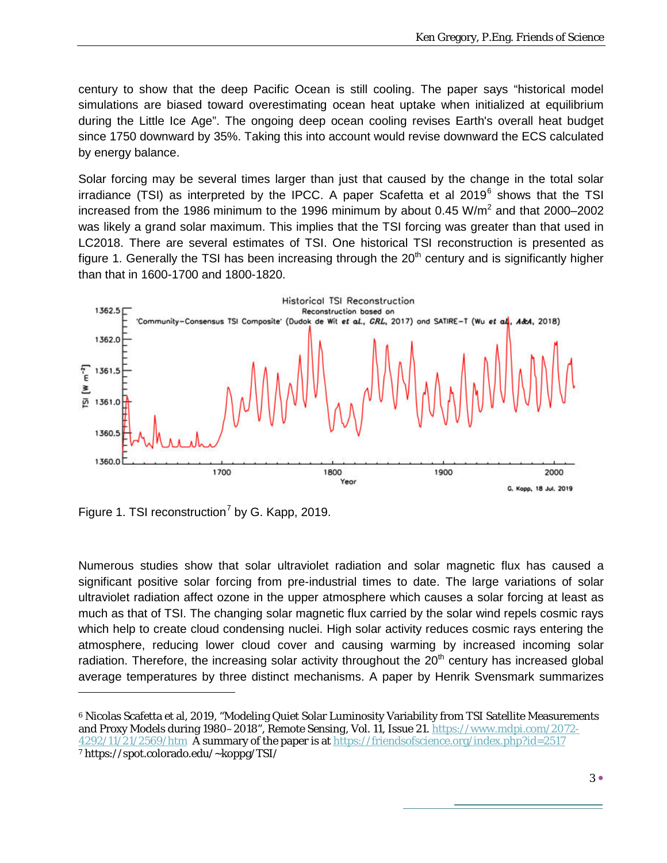century to show that the deep Pacific Ocean is still cooling. The paper says "historical model simulations are biased toward overestimating ocean heat uptake when initialized at equilibrium during the Little Ice Age". The ongoing deep ocean cooling revises Earth's overall heat budget since 1750 downward by 35%. Taking this into account would revise downward the ECS calculated by energy balance.

Solar forcing may be several times larger than just that caused by the change in the total solar irradiance (TSI) as interpreted by the IPCC. A paper Scafetta et al 2019 $^6$  $^6$  shows that the TSI increased from the 1986 minimum to the 1996 minimum by about  $0.45 \text{ W/m}^2$  and that  $2000-2002$ was likely a grand solar maximum. This implies that the TSI forcing was greater than that used in LC2018. There are several estimates of TSI. One historical TSI reconstruction is presented as figure 1. Generally the TSI has been increasing through the  $20<sup>th</sup>$  century and is significantly higher than that in 1600-1700 and 1800-1820.



Figure 1. TSI reconstruction<sup>[7](#page-2-1)</sup> by G. Kapp, 2019.

 $\overline{a}$ 

Numerous studies show that solar ultraviolet radiation and solar magnetic flux has caused a significant positive solar forcing from pre-industrial times to date. The large variations of solar ultraviolet radiation affect ozone in the upper atmosphere which causes a solar forcing at least as much as that of TSI. The changing solar magnetic flux carried by the solar wind repels cosmic rays which help to create cloud condensing nuclei. High solar activity reduces cosmic rays entering the atmosphere, reducing lower cloud cover and causing warming by increased incoming solar radiation. Therefore, the increasing solar activity throughout the 20<sup>th</sup> century has increased global average temperatures by three distinct mechanisms. A paper by Henrik Svensmark summarizes

<span id="page-2-1"></span><span id="page-2-0"></span><sup>6</sup> Nicolas Scafetta et al, 2019, "Modeling Quiet Solar Luminosity Variability from TSI Satellite Measurements and Proxy Models during 1980–2018", *Remote Sensing*, Vol. 11, Issue 21[. https://www.mdpi.com/2072-](https://www.mdpi.com/2072-4292/11/21/2569/htm) [4292/11/21/2569/htm](https://www.mdpi.com/2072-4292/11/21/2569/htm) A summary of the paper is at<https://friendsofscience.org/index.php?id=2517> <sup>7</sup> https://spot.colorado.edu/~koppg/TSI/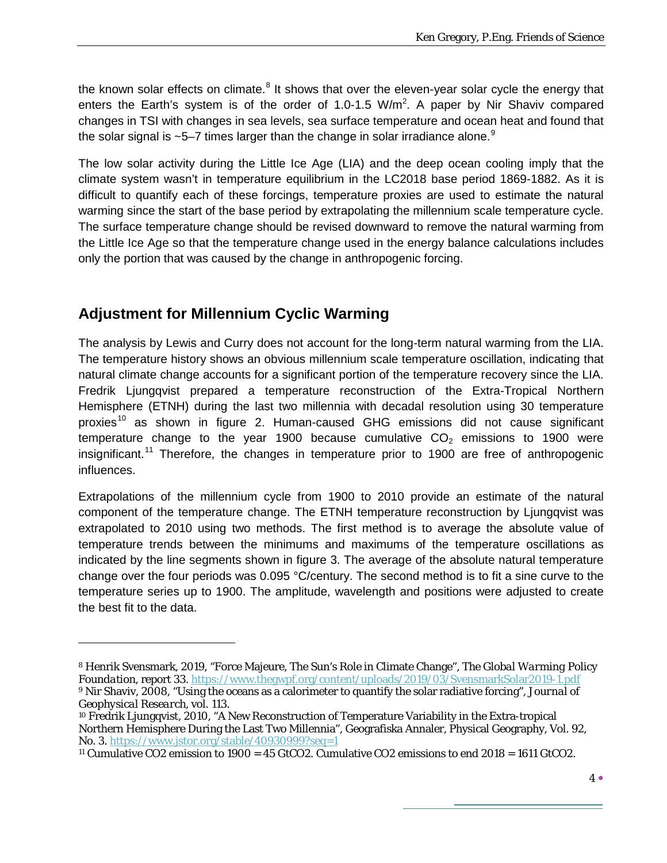the known solar effects on climate. $8$  It shows that over the eleven-year solar cycle the energy that enters the Earth's system is of the order of 1.0-1.5  $W/m^2$ . A paper by Nir Shaviv compared changes in TSI with changes in sea levels, sea surface temperature and ocean heat and found that the solar signal is ~5–7 times larger than the change in solar irradiance alone. $^9$  $^9$ 

The low solar activity during the Little Ice Age (LIA) and the deep ocean cooling imply that the climate system wasn't in temperature equilibrium in the LC2018 base period 1869-1882. As it is difficult to quantify each of these forcings, temperature proxies are used to estimate the natural warming since the start of the base period by extrapolating the millennium scale temperature cycle. The surface temperature change should be revised downward to remove the natural warming from the Little Ice Age so that the temperature change used in the energy balance calculations includes only the portion that was caused by the change in anthropogenic forcing.

# **Adjustment for Millennium Cyclic Warming**

 $\overline{a}$ 

The analysis by Lewis and Curry does not account for the long-term natural warming from the LIA. The temperature history shows an obvious millennium scale temperature oscillation, indicating that natural climate change accounts for a significant portion of the temperature recovery since the LIA. Fredrik Ljungqvist prepared a temperature reconstruction of the Extra-Tropical Northern Hemisphere (ETNH) during the last two millennia with decadal resolution using 30 temperature proxies<sup>[10](#page-3-2)</sup> as shown in figure 2. Human-caused GHG emissions did not cause significant temperature change to the year 1900 because cumulative  $CO<sub>2</sub>$  emissions to 1900 were insignificant.<sup>[11](#page-3-3)</sup> Therefore, the changes in temperature prior to 1900 are free of anthropogenic influences.

Extrapolations of the millennium cycle from 1900 to 2010 provide an estimate of the natural component of the temperature change. The ETNH temperature reconstruction by Ljungqvist was extrapolated to 2010 using two methods. The first method is to average the absolute value of temperature trends between the minimums and maximums of the temperature oscillations as indicated by the line segments shown in figure 3. The average of the absolute natural temperature change over the four periods was 0.095 °C/century. The second method is to fit a sine curve to the temperature series up to 1900. The amplitude, wavelength and positions were adjusted to create the best fit to the data.

<span id="page-3-0"></span><sup>8</sup> Henrik Svensmark, 2019, "Force Majeure, The Sun's Role in Climate Change", *The Global Warming Policy Foundation*, report 33.<https://www.thegwpf.org/content/uploads/2019/03/SvensmarkSolar2019-1.pdf> <sup>9</sup> Nir Shaviv, 2008, "Using the oceans as a calorimeter to quantify the solar radiative forcing", *Journal of Geophysical Research*, vol. 113.

<span id="page-3-2"></span><span id="page-3-1"></span><sup>10</sup> Fredrik Ljungqvist, 2010, "A New Reconstruction of Temperature Variability in the Extra-tropical Northern Hemisphere During the Last Two Millennia", Geografiska Annaler, Physical Geography, Vol. 92, No. 3.<https://www.jstor.org/stable/40930999?seq=1>

<span id="page-3-3"></span><sup>11</sup> Cumulative CO2 emission to 1900 = 45 GtCO2. Cumulative CO2 emissions to end 2018 = 1611 GtCO2.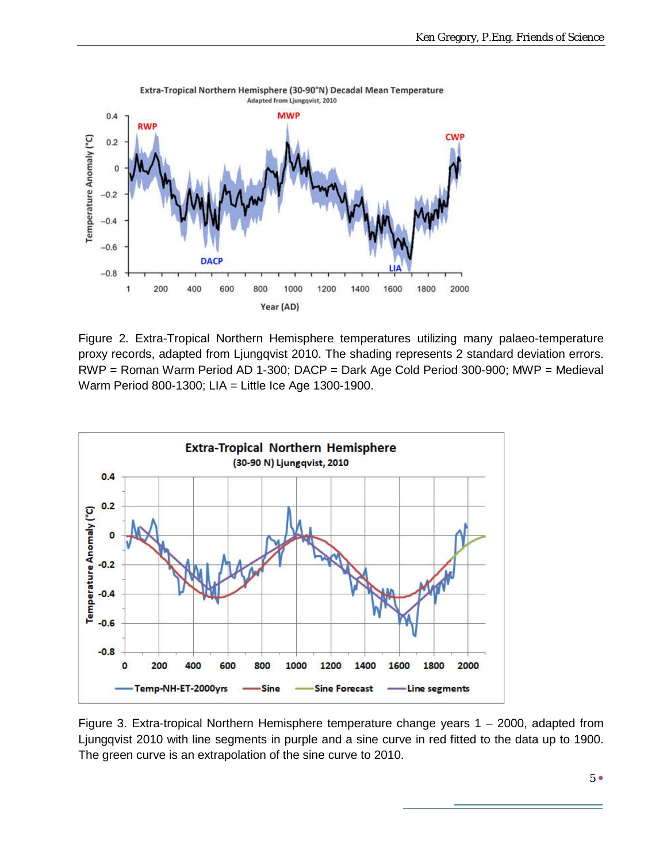

Extra-Tropical Northern Hemisphere (30-90°N) Decadal Mean Temperature Adapted from Ljungqvist, 2010

Figure 2. Extra-Tropical Northern Hemisphere temperatures utilizing many palaeo-temperature proxy records, adapted from Ljungqvist 2010. The shading represents 2 standard deviation errors. RWP = Roman Warm Period AD 1-300; DACP = Dark Age Cold Period 300-900; MWP = Medieval Warm Period 800-1300; LIA = Little Ice Age 1300-1900.



Figure 3. Extra-tropical Northern Hemisphere temperature change years 1 – 2000, adapted from Ljungqvist 2010 with line segments in purple and a sine curve in red fitted to the data up to 1900. The green curve is an extrapolation of the sine curve to 2010.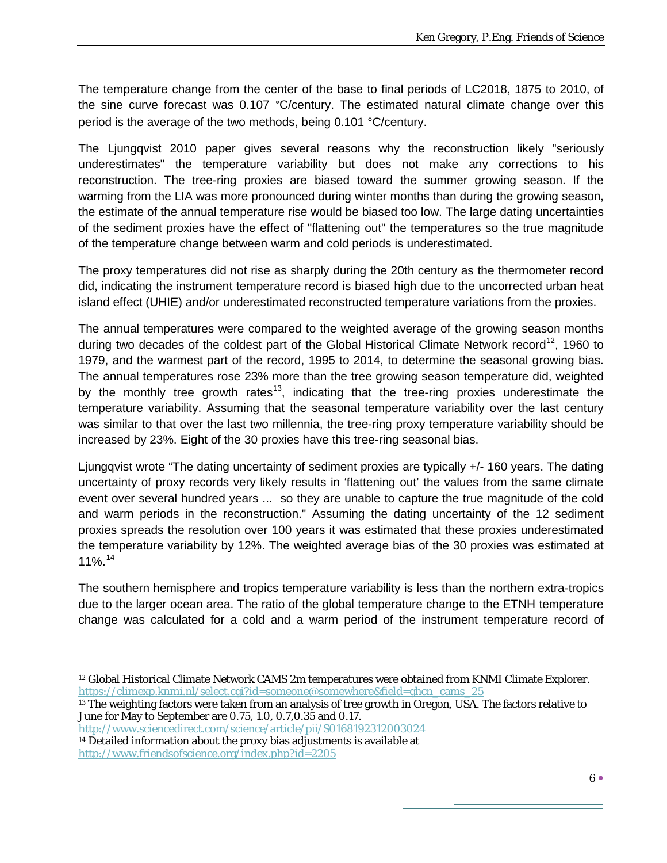The temperature change from the center of the base to final periods of LC2018, 1875 to 2010, of the sine curve forecast was 0.107 °C/century. The estimated natural climate change over this period is the average of the two methods, being 0.101 °C/century.

The Ljungqvist 2010 paper gives several reasons why the reconstruction likely "seriously underestimates" the temperature variability but does not make any corrections to his reconstruction. The tree-ring proxies are biased toward the summer growing season. If the warming from the LIA was more pronounced during winter months than during the growing season, the estimate of the annual temperature rise would be biased too low. The large dating uncertainties of the sediment proxies have the effect of "flattening out" the temperatures so the true magnitude of the temperature change between warm and cold periods is underestimated.

The proxy temperatures did not rise as sharply during the 20th century as the thermometer record did, indicating the instrument temperature record is biased high due to the uncorrected urban heat island effect (UHIE) and/or underestimated reconstructed temperature variations from the proxies.

The annual temperatures were compared to the weighted average of the growing season months during two decades of the coldest part of the Global Historical Climate Network record<sup>12</sup>, 1960 to 1979, and the warmest part of the record, 1995 to 2014, to determine the seasonal growing bias. The annual temperatures rose 23% more than the tree growing season temperature did, weighted by the monthly tree growth rates<sup>13</sup>, indicating that the tree-ring proxies underestimate the temperature variability. Assuming that the seasonal temperature variability over the last century was similar to that over the last two millennia, the tree-ring proxy temperature variability should be increased by 23%. Eight of the 30 proxies have this tree-ring seasonal bias.

Ljungqvist wrote "The dating uncertainty of sediment proxies are typically +/- 160 years. The dating uncertainty of proxy records very likely results in 'flattening out' the values from the same climate event over several hundred years ... so they are unable to capture the true magnitude of the cold and warm periods in the reconstruction." Assuming the dating uncertainty of the 12 sediment proxies spreads the resolution over 100 years it was estimated that these proxies underestimated the temperature variability by 12%. The weighted average bias of the 30 proxies was estimated at 11%. [14](#page-5-2)

The southern hemisphere and tropics temperature variability is less than the northern extra-tropics due to the larger ocean area. The ratio of the global temperature change to the ETNH temperature change was calculated for a cold and a warm period of the instrument temperature record of

<http://www.sciencedirect.com/science/article/pii/S0168192312003024>

 $\overline{a}$ 

<span id="page-5-2"></span><sup>14</sup> Detailed information about the proxy bias adjustments is available at <http://www.friendsofscience.org/index.php?id=2205>

<span id="page-5-0"></span><sup>12</sup> Global Historical Climate Network CAMS 2m temperatures were obtained from KNMI Climate Explorer. [https://climexp.knmi.nl/select.cgi?id=someone@somewhere&field=ghcn\\_cams\\_25](https://climexp.knmi.nl/select.cgi?id=someone@somewhere&field=ghcn_cams_25)

<span id="page-5-1"></span><sup>&</sup>lt;sup>13</sup> The weighting factors were taken from an analysis of tree growth in Oregon, USA. The factors relative to June for May to September are 0.75, 1.0, 0.7,0.35 and 0.17.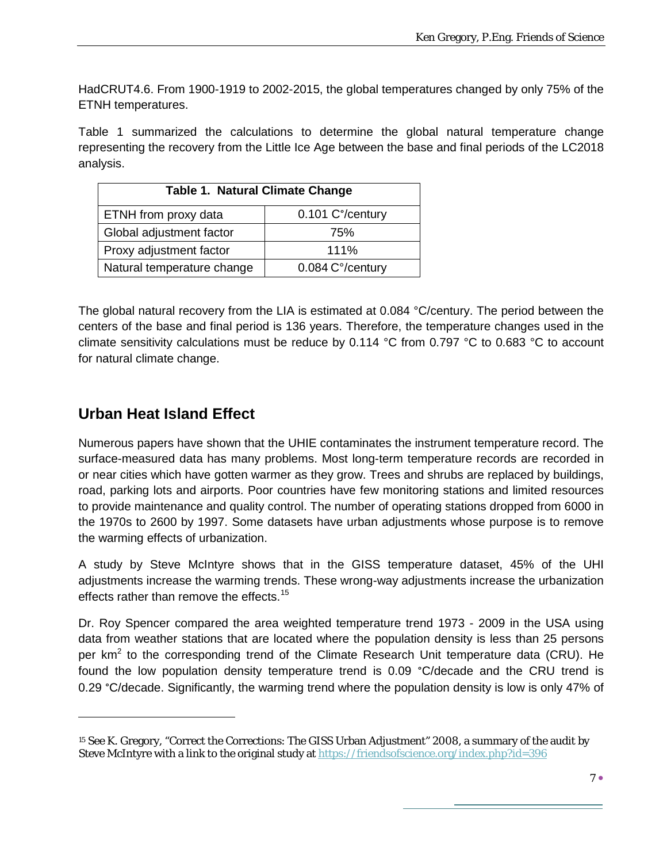HadCRUT4.6. From 1900-1919 to 2002-2015, the global temperatures changed by only 75% of the ETNH temperatures.

Table 1 summarized the calculations to determine the global natural temperature change representing the recovery from the Little Ice Age between the base and final periods of the LC2018 analysis.

| <b>Table 1. Natural Climate Change</b>   |                  |  |  |  |  |
|------------------------------------------|------------------|--|--|--|--|
| 0.101 C°/century<br>ETNH from proxy data |                  |  |  |  |  |
| Global adjustment factor                 | 75%              |  |  |  |  |
| Proxy adjustment factor                  | 111%             |  |  |  |  |
| Natural temperature change               | 0.084 C°/century |  |  |  |  |

The global natural recovery from the LIA is estimated at 0.084 °C/century. The period between the centers of the base and final period is 136 years. Therefore, the temperature changes used in the climate sensitivity calculations must be reduce by 0.114 °C from 0.797 °C to 0.683 °C to account for natural climate change.

#### **Urban Heat Island Effect**

 $\overline{a}$ 

Numerous papers have shown that the UHIE contaminates the instrument temperature record. The surface-measured data has many problems. Most long-term temperature records are recorded in or near cities which have gotten warmer as they grow. Trees and shrubs are replaced by buildings, road, parking lots and airports. Poor countries have few monitoring stations and limited resources to provide maintenance and quality control. The number of operating stations dropped from 6000 in the 1970s to 2600 by 1997. Some datasets have urban adjustments whose purpose is to remove the warming effects of urbanization.

A study by Steve McIntyre shows that in the GISS temperature dataset, 45% of the UHI adjustments increase the warming trends. These wrong-way adjustments increase the urbanization effects rather than remove the effects.<sup>[15](#page-6-0)</sup>

Dr. Roy Spencer compared the area weighted temperature trend 1973 - 2009 in the USA using data from weather stations that are located where the population density is less than 25 persons per  $km<sup>2</sup>$  to the corresponding trend of the Climate Research Unit temperature data (CRU). He found the low population density temperature trend is 0.09 °C/decade and the CRU trend is 0.29 °C/decade. Significantly, the warming trend where the population density is low is only 47% of

<span id="page-6-0"></span><sup>15</sup> See K. Gregory, "Correct the Corrections: The GISS Urban Adjustment" 2008, a summary of the audit by Steve McIntyre with a link to the original study at<https://friendsofscience.org/index.php?id=396>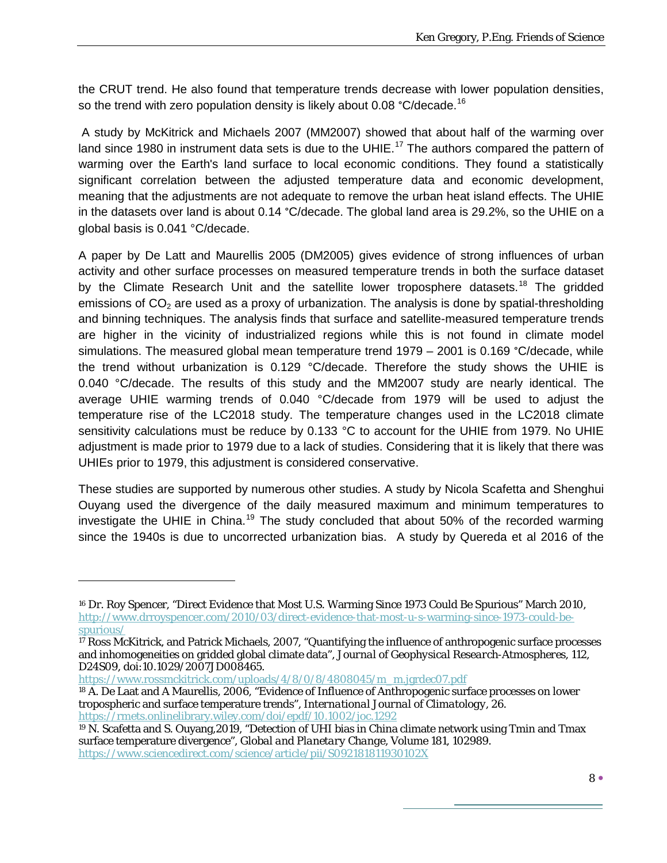the CRUT trend. He also found that temperature trends decrease with lower population densities, so the trend with zero population density is likely about 0.08  $^{\circ}$ C/decade.<sup>[16](#page-7-0)</sup>

A study by McKitrick and Michaels 2007 (MM2007) showed that about half of the warming over land since 1980 in instrument data sets is due to the UHIE.<sup>[17](#page-7-1)</sup> The authors compared the pattern of warming over the Earth's land surface to local economic conditions. They found a statistically significant correlation between the adjusted temperature data and economic development, meaning that the adjustments are not adequate to remove the urban heat island effects. The UHIE in the datasets over land is about 0.14 °C/decade. The global land area is 29.2%, so the UHIE on a global basis is 0.041 °C/decade.

A paper by De Latt and Maurellis 2005 (DM2005) gives evidence of strong influences of urban activity and other surface processes on measured temperature trends in both the surface dataset by the Climate Research Unit and the satellite lower troposphere datasets.<sup>[18](#page-7-2)</sup> The gridded emissions of  $CO<sub>2</sub>$  are used as a proxy of urbanization. The analysis is done by spatial-thresholding and binning techniques. The analysis finds that surface and satellite-measured temperature trends are higher in the vicinity of industrialized regions while this is not found in climate model simulations. The measured global mean temperature trend 1979 - 2001 is 0.169 °C/decade, while the trend without urbanization is 0.129 °C/decade. Therefore the study shows the UHIE is 0.040 °C/decade. The results of this study and the MM2007 study are nearly identical. The average UHIE warming trends of 0.040 °C/decade from 1979 will be used to adjust the temperature rise of the LC2018 study. The temperature changes used in the LC2018 climate sensitivity calculations must be reduce by 0.133 °C to account for the UHIE from 1979. No UHIE adjustment is made prior to 1979 due to a lack of studies. Considering that it is likely that there was UHIEs prior to 1979, this adjustment is considered conservative.

These studies are supported by numerous other studies. A study by Nicola Scafetta and Shenghui Ouyang used the divergence of the daily measured maximum and minimum temperatures to investigate the UHIE in China.<sup>[19](#page-7-3)</sup> The study concluded that about 50% of the recorded warming since the 1940s is due to uncorrected urbanization bias. A study by Quereda et al 2016 of the

 $\overline{a}$ 

<span id="page-7-0"></span><sup>16</sup> Dr. Roy Spencer, "Direct Evidence that Most U.S. Warming Since 1973 Could Be Spurious" March 2010, [http://www.drroyspencer.com/2010/03/direct-evidence-that-most-u-s-warming-since-1973-could-be](http://www.drroyspencer.com/2010/03/direct-evidence-that-most-u-s-warming-since-1973-could-be-spurious/)[spurious/](http://www.drroyspencer.com/2010/03/direct-evidence-that-most-u-s-warming-since-1973-could-be-spurious/)

<span id="page-7-1"></span> $17$  Ross McKitrick, and Patrick Michaels, 2007, "Quantifying the influence of anthropogenic surface processes and inhomogeneities on gridded global climate data", *Journal of Geophysical Research-Atmospheres*, 112, D24S09, doi:10.1029/2007JD008465.

[https://www.rossmckitrick.com/uploads/4/8/0/8/4808045/m\\_m.jgrdec07.pdf](https://www.rossmckitrick.com/uploads/4/8/0/8/4808045/m_m.jgrdec07.pdf)

<span id="page-7-2"></span><sup>18</sup> A. De Laat and A Maurellis, 2006, "Evidence of Influence of Anthropogenic surface processes on lower tropospheric and surface temperature trends", *International Journal of Climatology*, 26. <https://rmets.onlinelibrary.wiley.com/doi/epdf/10.1002/joc.1292>

<span id="page-7-3"></span><sup>19</sup> N. Scafetta and S. Ouyang,2019, "Detection of UHI bias in China climate network using Tmin and Tmax surface temperature divergence", *Global and Planetary Change*, Volume 181, 102989. <https://www.sciencedirect.com/science/article/pii/S092181811930102X>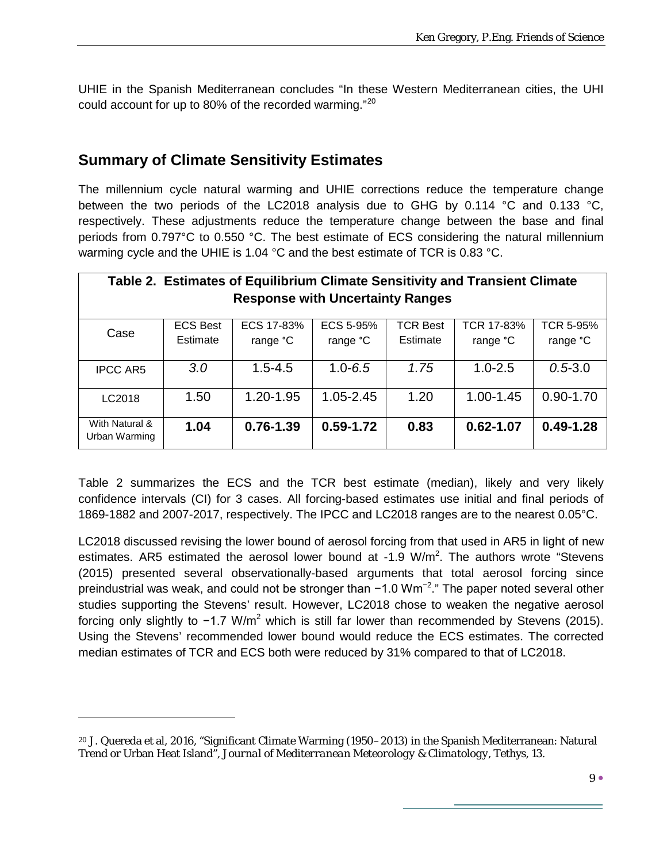UHIE in the Spanish Mediterranean concludes "In these Western Mediterranean cities, the UHI could account for up to 80% of the recorded warming."<sup>[20](#page-8-0)</sup>

#### **Summary of Climate Sensitivity Estimates**

 $\overline{a}$ 

The millennium cycle natural warming and UHIE corrections reduce the temperature change between the two periods of the LC2018 analysis due to GHG by 0.114 °C and 0.133 °C, respectively. These adjustments reduce the temperature change between the base and final periods from 0.797°C to 0.550 °C. The best estimate of ECS considering the natural millennium warming cycle and the UHIE is 1.04 °C and the best estimate of TCR is 0.83 °C.

| Table 2. Estimates of Equilibrium Climate Sensitivity and Transient Climate |                             |                        |                       |                             |                        |                              |  |  |
|-----------------------------------------------------------------------------|-----------------------------|------------------------|-----------------------|-----------------------------|------------------------|------------------------------|--|--|
| <b>Response with Uncertainty Ranges</b>                                     |                             |                        |                       |                             |                        |                              |  |  |
| Case                                                                        | <b>ECS Best</b><br>Estimate | ECS 17-83%<br>range °C | ECS 5-95%<br>range °C | <b>TCR Best</b><br>Estimate | TCR 17-83%<br>range °C | <b>TCR 5-95%</b><br>range °C |  |  |
| <b>IPCC AR5</b>                                                             | 3.0                         | $1.5 - 4.5$            | $1.0 - 6.5$           | 1.75                        | $1.0 - 2.5$            | $0.5 - 3.0$                  |  |  |
| LC2018                                                                      | 1.50                        | 1.20-1.95              | 1.05-2.45             | 1.20                        | 1.00-1.45              | $0.90 - 1.70$                |  |  |
| With Natural &<br>Urban Warming                                             | 1.04                        | $0.76 - 1.39$          | $0.59 - 1.72$         | 0.83                        | $0.62 - 1.07$          | $0.49 - 1.28$                |  |  |

Table 2 summarizes the ECS and the TCR best estimate (median), likely and very likely confidence intervals (CI) for 3 cases. All forcing-based estimates use initial and final periods of 1869-1882 and 2007-2017, respectively. The IPCC and LC2018 ranges are to the nearest 0.05°C.

LC2018 discussed revising the lower bound of aerosol forcing from that used in AR5 in light of new estimates. AR5 estimated the aerosol lower bound at  $-1.9$  W/m<sup>2</sup>. The authors wrote "Stevens (2015) presented several observationally-based arguments that total aerosol forcing since preindustrial was weak, and could not be stronger than -1.0 Wm<sup>-2</sup>." The paper noted several other studies supporting the Stevens' result. However, LC2018 chose to weaken the negative aerosol forcing only slightly to  $-1.7$  W/m<sup>2</sup> which is still far lower than recommended by Stevens (2015). Using the Stevens' recommended lower bound would reduce the ECS estimates. The corrected median estimates of TCR and ECS both were reduced by 31% compared to that of LC2018.

<span id="page-8-0"></span><sup>20</sup> J. Quereda et al, 2016, "Significant Climate Warming (1950–2013) in the Spanish Mediterranean: Natural Trend or Urban Heat Island", *Journal of Mediterranean Meteorology & Climatology*, Tethys, 13.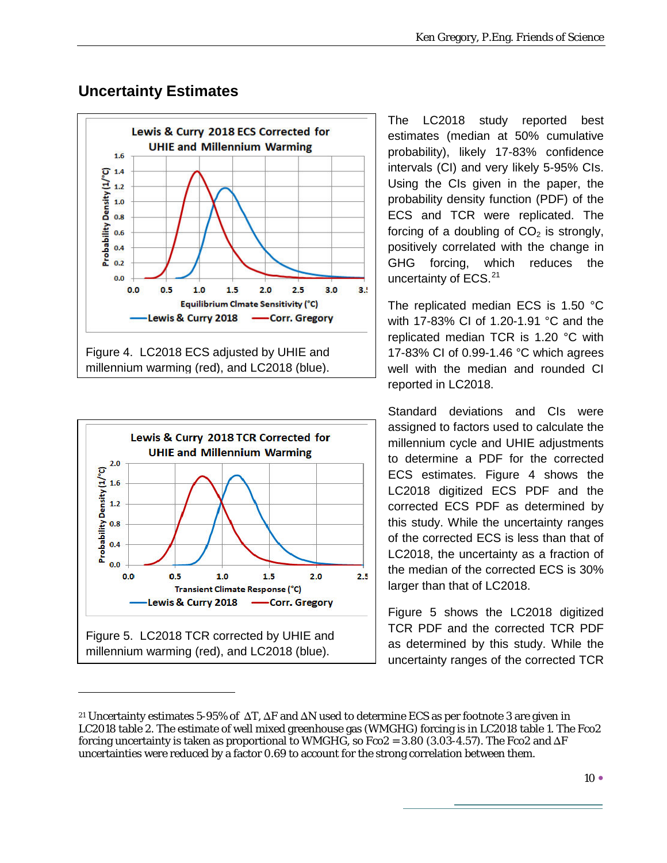





 $\overline{a}$ 

The LC2018 study reported best estimates (median at 50% cumulative probability), likely 17-83% confidence intervals (CI) and very likely 5-95% CIs. Using the CIs given in the paper, the probability density function (PDF) of the ECS and TCR were replicated. The forcing of a doubling of  $CO<sub>2</sub>$  is strongly, positively correlated with the change in GHG forcing, which reduces the uncertainty of ECS.<sup>[21](#page-9-0)</sup>

The replicated median ECS is 1.50 °C with 17-83% CI of 1.20-1.91 °C and the replicated median TCR is 1.20 °C with 17-83% CI of 0.99-1.46 °C which agrees well with the median and rounded CI reported in LC2018.

Standard deviations and CIs were assigned to factors used to calculate the millennium cycle and UHIE adjustments to determine a PDF for the corrected ECS estimates. Figure 4 shows the LC2018 digitized ECS PDF and the corrected ECS PDF as determined by this study. While the uncertainty ranges of the corrected ECS is less than that of LC2018, the uncertainty as a fraction of the median of the corrected ECS is 30% larger than that of LC2018.

Figure 5 shows the LC2018 digitized TCR PDF and the corrected TCR PDF as determined by this study. While the uncertainty ranges of the corrected TCR

<span id="page-9-0"></span><sup>&</sup>lt;sup>21</sup> Uncertainty estimates 5-95% of  $\Delta T$ ,  $\Delta F$  and  $\Delta N$  used to determine ECS as per footnote 3 are given in LC2018 table 2. The estimate of well mixed greenhouse gas (WMGHG) forcing is in LC2018 table 1. The Fco2 forcing uncertainty is taken as proportional to WMGHG, so  $Fco2 = 3.80$  (3.03-4.57). The Fco2 and  $\Delta F$ uncertainties were reduced by a factor 0.69 to account for the strong correlation between them.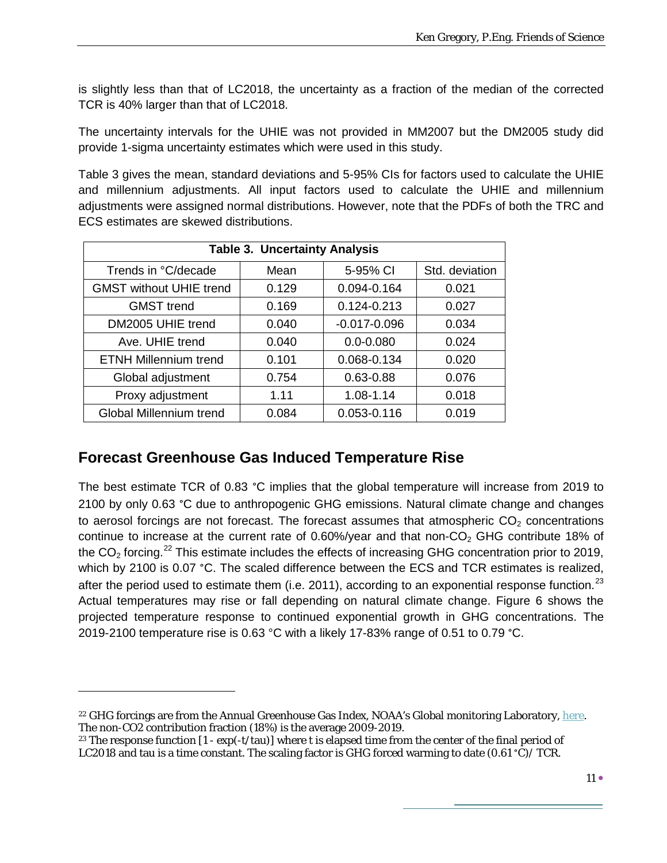is slightly less than that of LC2018, the uncertainty as a fraction of the median of the corrected TCR is 40% larger than that of LC2018.

The uncertainty intervals for the UHIE was not provided in MM2007 but the DM2005 study did provide 1-sigma uncertainty estimates which were used in this study.

Table 3 gives the mean, standard deviations and 5-95% CIs for factors used to calculate the UHIE and millennium adjustments. All input factors used to calculate the UHIE and millennium adjustments were assigned normal distributions. However, note that the PDFs of both the TRC and ECS estimates are skewed distributions.

| <b>Table 3. Uncertainty Analysis</b> |       |                  |                |  |  |  |  |
|--------------------------------------|-------|------------------|----------------|--|--|--|--|
| Trends in °C/decade                  | Mean  | 5-95% CI         | Std. deviation |  |  |  |  |
| <b>GMST without UHIE trend</b>       | 0.129 | 0.094-0.164      | 0.021          |  |  |  |  |
| <b>GMST</b> trend                    | 0.169 | 0.124-0.213      | 0.027          |  |  |  |  |
| DM2005 UHIE trend                    | 0.040 | $-0.017 - 0.096$ | 0.034          |  |  |  |  |
| Ave. UHIE trend                      | 0.040 | $0.0 - 0.080$    | 0.024          |  |  |  |  |
| <b>ETNH Millennium trend</b>         | 0.101 | 0.068-0.134      | 0.020          |  |  |  |  |
| Global adjustment                    | 0.754 | 0.63-0.88        | 0.076          |  |  |  |  |
| Proxy adjustment                     | 1.11  | 1.08-1.14        | 0.018          |  |  |  |  |
| Global Millennium trend              | 0.084 | 0.053-0.116      | 0.019          |  |  |  |  |

## **Forecast Greenhouse Gas Induced Temperature Rise**

 $\overline{a}$ 

The best estimate TCR of 0.83 °C implies that the global temperature will increase from 2019 to 2100 by only 0.63 °C due to anthropogenic GHG emissions. Natural climate change and changes to aerosol forcings are not forecast. The forecast assumes that atmospheric  $CO<sub>2</sub>$  concentrations continue to increase at the current rate of  $0.60\%$ /year and that non-CO<sub>2</sub> GHG contribute 18% of the CO<sub>2</sub> forcing.<sup>[22](#page-10-0)</sup> This estimate includes the effects of increasing GHG concentration prior to 2019, which by 2100 is 0.07 °C. The scaled difference between the ECS and TCR estimates is realized, after the period used to estimate them (i.e. 2011), according to an exponential response function.<sup>[23](#page-10-1)</sup> Actual temperatures may rise or fall depending on natural climate change. Figure 6 shows the projected temperature response to continued exponential growth in GHG concentrations. The 2019-2100 temperature rise is 0.63 °C with a likely 17-83% range of 0.51 to 0.79 °C.

<span id="page-10-0"></span><sup>&</sup>lt;sup>22</sup> GHG forcings are from the Annual Greenhouse Gas Index, NOAA's Global monitoring Laboratory[, here.](https://www.esrl.noaa.gov/gmd/aggi/aggi.html) The non-CO2 contribution fraction (18%) is the average 2009-2019.

<span id="page-10-1"></span><sup>&</sup>lt;sup>23</sup> The response function  $[1 - \exp(-t/\tan)]$  where t is elapsed time from the center of the final period of LC2018 and tau is a time constant. The scaling factor is GHG forced warming to date  $(0.61 \degree C)/$  TCR.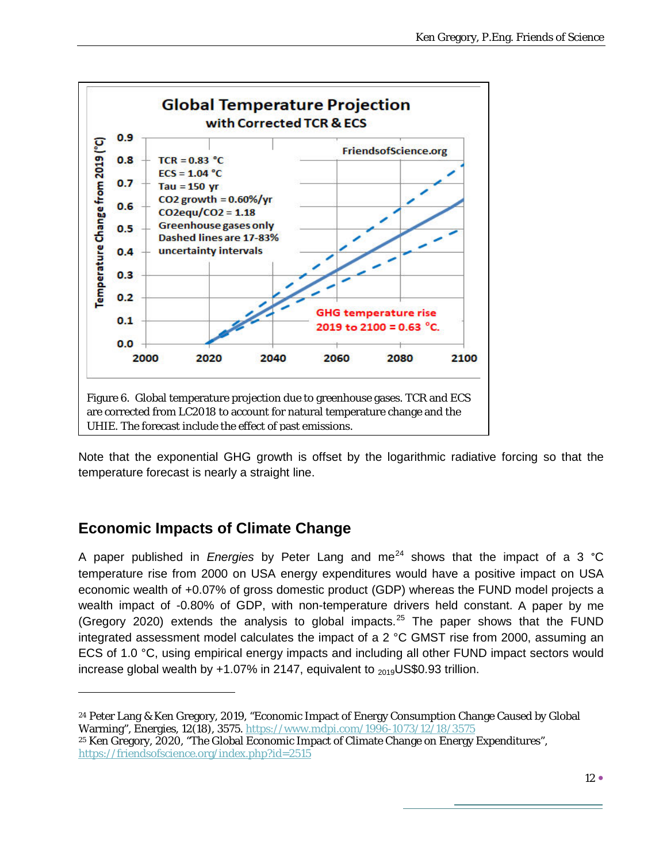

Note that the exponential GHG growth is offset by the logarithmic radiative forcing so that the temperature forecast is nearly a straight line.

## **Economic Impacts of Climate Change**

 $\overline{a}$ 

A paper published in *Energies* by Peter Lang and me<sup>[24](#page-11-0)</sup> shows that the impact of a 3 °C temperature rise from 2000 on USA energy expenditures would have a positive impact on USA economic wealth of +0.07% of gross domestic product (GDP) whereas the FUND model projects a wealth impact of -0.80% of GDP, with non-temperature drivers held constant. A paper by me (Gregory 2020) extends the analysis to global impacts.<sup>[25](#page-11-1)</sup> The paper shows that the FUND integrated assessment model calculates the impact of a 2 °C GMST rise from 2000, assuming an ECS of 1.0 °C, using empirical energy impacts and including all other FUND impact sectors would increase global wealth by  $+1.07\%$  in 2147, equivalent to  $_{2019}$ US\$0.93 trillion.

<span id="page-11-0"></span><sup>24</sup> Peter Lang & Ken Gregory, 2019, "Economic Impact of Energy Consumption Change Caused by Global Warming", Energies, 12(18), 3575[. https://www.mdpi.com/1996-1073/12/18/3575](https://www.mdpi.com/1996-1073/12/18/3575)

<span id="page-11-1"></span><sup>25</sup> Ken Gregory, 2020, "The Global Economic Impact of Climate Change on Energy Expenditures", <https://friendsofscience.org/index.php?id=2515>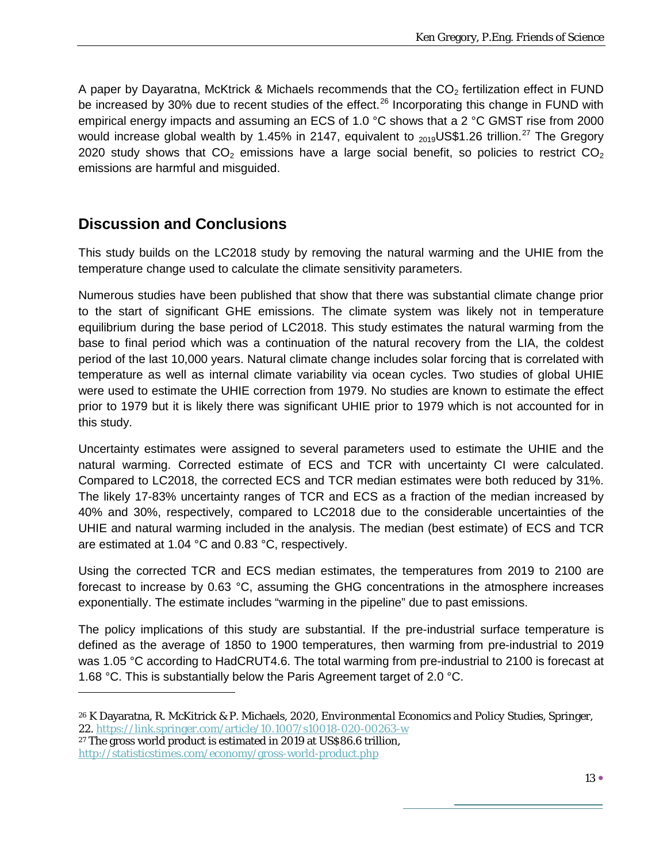A paper by Dayaratna, McKtrick & Michaels recommends that the  $CO<sub>2</sub>$  fertilization effect in FUND be increased by 30% due to recent studies of the effect.<sup>[26](#page-12-0)</sup> Incorporating this change in FUND with empirical energy impacts and assuming an ECS of 1.0 °C shows that a 2 °C GMST rise from 2000 would increase global wealth by 1.45% in 2147, equivalent to <sub>2019</sub>US\$1.26 trillion.<sup>[27](#page-12-1)</sup> The Gregory 2020 study shows that  $CO<sub>2</sub>$  emissions have a large social benefit, so policies to restrict  $CO<sub>2</sub>$ emissions are harmful and misguided.

## **Discussion and Conclusions**

This study builds on the LC2018 study by removing the natural warming and the UHIE from the temperature change used to calculate the climate sensitivity parameters.

Numerous studies have been published that show that there was substantial climate change prior to the start of significant GHE emissions. The climate system was likely not in temperature equilibrium during the base period of LC2018. This study estimates the natural warming from the base to final period which was a continuation of the natural recovery from the LIA, the coldest period of the last 10,000 years. Natural climate change includes solar forcing that is correlated with temperature as well as internal climate variability via ocean cycles. Two studies of global UHIE were used to estimate the UHIE correction from 1979. No studies are known to estimate the effect prior to 1979 but it is likely there was significant UHIE prior to 1979 which is not accounted for in this study.

Uncertainty estimates were assigned to several parameters used to estimate the UHIE and the natural warming. Corrected estimate of ECS and TCR with uncertainty CI were calculated. Compared to LC2018, the corrected ECS and TCR median estimates were both reduced by 31%. The likely 17-83% uncertainty ranges of TCR and ECS as a fraction of the median increased by 40% and 30%, respectively, compared to LC2018 due to the considerable uncertainties of the UHIE and natural warming included in the analysis. The median (best estimate) of ECS and TCR are estimated at 1.04 °C and 0.83 °C, respectively.

Using the corrected TCR and ECS median estimates, the temperatures from 2019 to 2100 are forecast to increase by 0.63 °C, assuming the GHG concentrations in the atmosphere increases exponentially. The estimate includes "warming in the pipeline" due to past emissions.

The policy implications of this study are substantial. If the pre-industrial surface temperature is defined as the average of 1850 to 1900 temperatures, then warming from pre-industrial to 2019 was 1.05 °C according to HadCRUT4.6. The total warming from pre-industrial to 2100 is forecast at 1.68 °C. This is substantially below the Paris Agreement target of 2.0 °C.

<span id="page-12-1"></span><sup>27</sup> The gross world product is estimated in 2019 at US\$86.6 trillion,

 $\overline{a}$ 

<span id="page-12-0"></span><sup>26</sup> K Dayaratna, R. McKitrick & P. Michaels, 2020, *Environmental Economics and Policy Studies*, Springer, 22.<https://link.springer.com/article/10.1007/s10018-020-00263-w>

<http://statisticstimes.com/economy/gross-world-product.php>